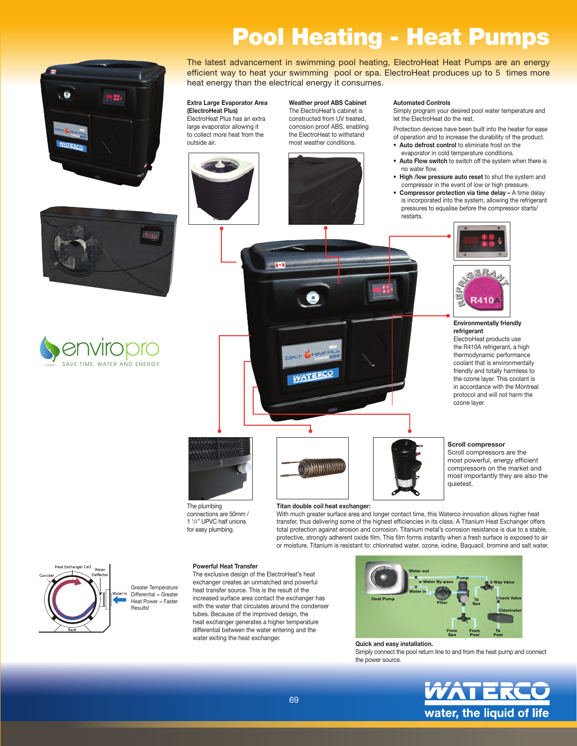# Pool Heating - Heat Pumps



TIME, WATER AND ENERGY

**Senviropro** 

The latest advancement in swimming pool heating, ElectroHeat Heat Pumps are an energy efficient way to heat your swimming pool or spa. ElectroHeat produces up to 5 times more heat energy than the electrical energy it consumes.

#### Extra Large Evaporator Area (ElectroHeat Plus)

ElectroHeat Plus has an extra large evaporator allowing it to collect more heat from the outside air.



Weather proof ABS Cabinet The ElectroHeat's cabinet is constructed from UV treated, corrosion proof ABS, enabling the ElectroHeat to withstand most weather conditions.



#### Automated Controls

Simply program your desired pool water temperature and let the ElectroHeat do the rest.

Protection devices have been built into the heater for ease of operation and to increase the durability of the product.

- Auto defrost control to eliminate frost on the evaporator in cold temperature conditions.
- Auto Flow switch to switch off the system when there is no water flow.
- High /low pressure auto reset to shut the system and compressor in the event of low or high pressure.
- Compressor protection via time delay A time delay is incorporated into the system, allowing the refrigerant pressures to equalise before the compressor starts/ restarts.



#### Environmentally friendly refrigerant

ElectroHeat products use the R410A refrigerant, a high thermodynamic performance coolant that is environmentally friendly and totally harmless to the ozone layer. This coolant is in accordance with the Montreal protocol and will not harm the .<br>ozone layer.

Scroll compressor Scroll compressors are the most powerful, energy efficient compressors on the market and most importantly they are also the

quietest.



The plumbing connections are 50mm / 1 <sup>1</sup> /2" UPVC half unions for easy plumbing.

#### Titan double coil heat exchanger:

**MANAHIMI** 

With much greater surface area and longer contact time, this Waterco innovation allows higher heat transfer, thus delivering some of the highest efficiencies in its class. A Titanium Heat Exchanger offers total protection against erosion and corrosion. Titanium metal's corrosion resistance is due to a stable, protective, strongly adherent oxide film. This film forms instantly when a fresh surface is exposed to air or moisture. Titanium is resistant to: chlorinated water, ozone, iodine, Baquacil, bromine and salt water.



Greater Temperature Differential = Greater Heat Power = Faster Results!

#### Powerful Heat Transfer

The exclusive design of the ElectroHeat's heat exchanger creates an unmatched and powerful heat transfer source. This is the result of the increased surface area contact the exchanger has with the water that circulates around the condenser tubes. Because of the improved design, the heat exchanger generates a higher temperature differential between the water entering and the water exiting the heat exchanger.



#### Quick and easy installation.

Simply connect the pool return line to and from the heat pump and connect the power source.



69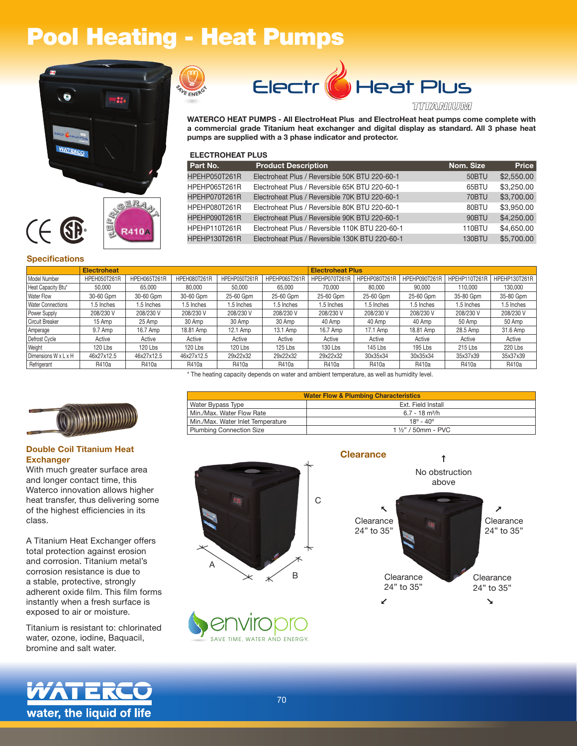## Pool Heating - Heat Pumps









#### TTITTANNINUINA

WATERCO HEAT PUMPS - All ElectroHeat Plus and ElectroHeat heat pumps come complete with a commercial grade Titanium heat exchanger and digital display as standard. All 3 phase heat pumps are supplied with a 3 phase indicator and protector.

#### ELECTROHEAT PLUS

| Part No.             | <b>Product Description</b>                      | Nom. Size     | <b>Price</b> |
|----------------------|-------------------------------------------------|---------------|--------------|
| <b>HPEHP050T261R</b> | Electroheat Plus / Reversible 50K BTU 220-60-1  | 50BTU         | \$2,550.00   |
| HPEHP065T261R        | Electroheat Plus / Reversible 65K BTU 220-60-1  | 65BTU         | \$3,250,00   |
| HPEHP070T261R        | Electroheat Plus / Reversible 70K BTU 220-60-1  | 70BTU         | \$3,700.00   |
| HPEHP080T261R        | Electroheat Plus / Reversible 80K BTU 220-60-1  | 80BTU         | \$3,950,00   |
| HPEHP090T261R        | Electroheat Plus / Reversible 90K BTU 220-60-1  | 90BTU         | \$4,250.00   |
| HPEHP110T261R        | Electroheat Plus / Reversible 110K BTU 220-60-1 | 110BTU        | \$4,650.00   |
| HPFHP130T261R        | Electroheat Plus / Reversible 130K BTU 220-60-1 | <b>130BTU</b> | \$5,700.00   |
|                      |                                                 |               |              |

**Water Flow & Plumbing Characteristics** 

#### **Specifications**

|                          | <b>Electroheat</b> |              |              | <b>Electroheat Plus</b> |               |               |               |               |               |               |
|--------------------------|--------------------|--------------|--------------|-------------------------|---------------|---------------|---------------|---------------|---------------|---------------|
| Model Number             | HPEH050T261R       | HPEH065T261R | HPEH080T261R | HPEHP050T261R           | HPEHP065T261R | HPEHP070T261R | HPEHP080T261R | HPEHP090T261R | HPEHP110T261R | HPEHP130T261R |
| Heat Capacity Btu*       | 50.000             | 65.000       | 80.000       | 50.000                  | 65.000        | 70.000        | 80,000        | 90.000        | 110.000       | 130,000       |
| <b>Water Flow</b>        | 30-60 Gpm          | 30-60 Gpm    | 30-60 Gpm    | 25-60 Gpm               | 25-60 Gpm     | 25-60 Gpm     | 25-60 Gpm     | 25-60 Gpm     | 35-80 Gpm     | 35-80 Gpm     |
| <b>Water Connections</b> | 1.5 Inches         | 1.5 Inches   | 1.5 Inches   | 1.5 Inches              | 1.5 Inches    | 1.5 Inches    | 1.5 Inches    | 1.5 Inches    | 1.5 Inches    | 1.5 Inches    |
| Power Supply             | 208/230 V          | 208/230 V    | 208/230 V    | 208/230 V               | 208/230 V     | 208/230 V     | 208/230 V     | 208/230 V     | 208/230 V     | 208/230 V     |
| Circuit Breaker          | 15 Amp             | 25 Amp       | 30 Amp       | 30 Amp                  | 30 Amp        | 40 Amp        | 40 Amp        | 40 Amp        | 50 Amp        | 50 Amp        |
| Amperage                 | 9.7 Amp            | 16.7 Amp     | 18.81 Amp    | 12.1 Amp                | 13.1 Amp      | 16.7 Amp      | 17.1 Amp      | 18.81 Amp     | 28.5 Amp      | 31.6 Amp      |
| Defrost Cycle            | Active             | Active       | Active       | Active                  | Active        | Active        | Active        | Active        | Active        | Active        |
| Weight                   | 120 Lbs            | 120 Lbs      | 120 Lbs      | 120 Lbs                 | 125 Lbs       | 130 Lbs       | 145 Lbs       | 195 Lbs       | 215 Lbs       | 220 Lbs       |
| Dimensions W x L x H     | 46x27x12.5         | 46x27x12.5   | 46x27x12.5   | 29x22x32                | 29x22x32      | 29x22x32      | 30x35x34      | 30x35x34      | 35x37x39      | 35x37x39      |
| Refrigerant              | R410a              | R410a        | R410a        | R410a                   | R410a         | R410a         | R410a         | R410a         | R410a         | R410a         |

\* The heating capacity depends on water and ambient temperature, as well as humidity level.

Water Bypass Type **Ext. Field Install** Min./Max. Water Flow Rate 6.7 - 18 m<sup>3</sup>/h<br>
Min /Max Water Inlet Temperature 6.7 - 18 m<sup>3</sup>/h Min./Max. Water Inlet Temperature 18<sup>°</sup> - 40<sup>°</sup><br>Plumbing Connection Size 18<sup>°</sup> - 40<sup>°</sup>



#### **Double Coil Titanium Heat Exchanger**

With much greater surface area and longer contact time, this Waterco innovation allows higher heat transfer, thus delivering some of the highest efficiencies in its class.

A Titanium Heat Exchanger offers total protection against erosion and corrosion. Titanium metal's corrosion resistance is due to a stable, protective, strongly adherent oxide film. This film forms instantly when a fresh surface is exposed to air or moisture.

Titanium is resistant to: chlorinated water, ozone, iodine, Baquacil, bromine and salt water.

water, the liquid of life



Plumbing Connection Size